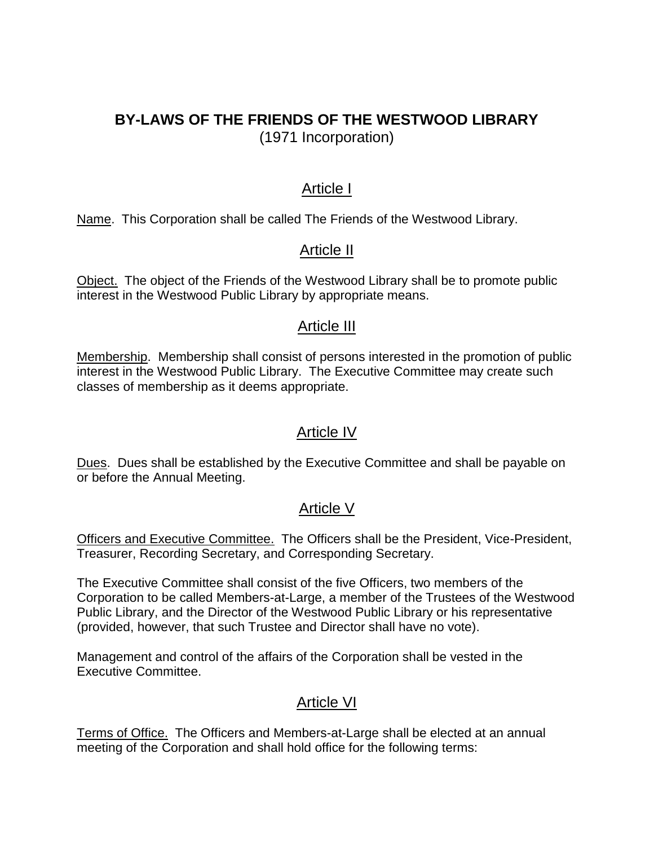## **BY-LAWS OF THE FRIENDS OF THE WESTWOOD LIBRARY** (1971 Incorporation)

#### Article I

Name. This Corporation shall be called The Friends of the Westwood Library.

### Article II

Object. The object of the Friends of the Westwood Library shall be to promote public interest in the Westwood Public Library by appropriate means.

#### Article III

Membership. Membership shall consist of persons interested in the promotion of public interest in the Westwood Public Library. The Executive Committee may create such classes of membership as it deems appropriate.

### Article IV

Dues. Dues shall be established by the Executive Committee and shall be payable on or before the Annual Meeting.

#### Article V

Officers and Executive Committee. The Officers shall be the President, Vice-President, Treasurer, Recording Secretary, and Corresponding Secretary.

The Executive Committee shall consist of the five Officers, two members of the Corporation to be called Members-at-Large, a member of the Trustees of the Westwood Public Library, and the Director of the Westwood Public Library or his representative (provided, however, that such Trustee and Director shall have no vote).

Management and control of the affairs of the Corporation shall be vested in the Executive Committee.

### Article VI

Terms of Office. The Officers and Members-at-Large shall be elected at an annual meeting of the Corporation and shall hold office for the following terms: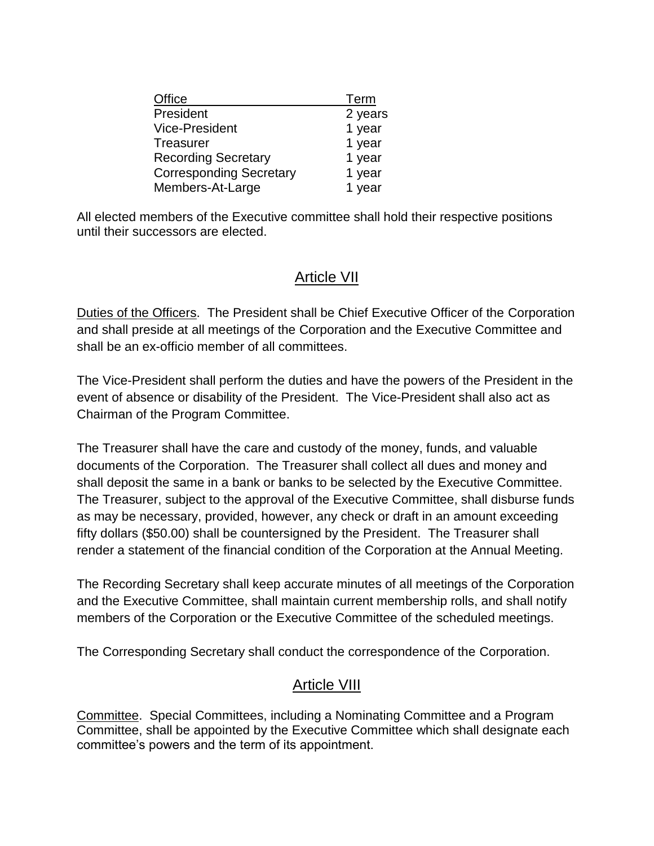| Office                         | Term    |
|--------------------------------|---------|
| President                      | 2 years |
| <b>Vice-President</b>          | 1 year  |
| <b>Treasurer</b>               | 1 year  |
| <b>Recording Secretary</b>     | 1 year  |
| <b>Corresponding Secretary</b> | 1 year  |
| Members-At-Large               | 1 year  |

All elected members of the Executive committee shall hold their respective positions until their successors are elected.

### Article VII

Duties of the Officers. The President shall be Chief Executive Officer of the Corporation and shall preside at all meetings of the Corporation and the Executive Committee and shall be an ex-officio member of all committees.

The Vice-President shall perform the duties and have the powers of the President in the event of absence or disability of the President. The Vice-President shall also act as Chairman of the Program Committee.

The Treasurer shall have the care and custody of the money, funds, and valuable documents of the Corporation. The Treasurer shall collect all dues and money and shall deposit the same in a bank or banks to be selected by the Executive Committee. The Treasurer, subject to the approval of the Executive Committee, shall disburse funds as may be necessary, provided, however, any check or draft in an amount exceeding fifty dollars (\$50.00) shall be countersigned by the President. The Treasurer shall render a statement of the financial condition of the Corporation at the Annual Meeting.

The Recording Secretary shall keep accurate minutes of all meetings of the Corporation and the Executive Committee, shall maintain current membership rolls, and shall notify members of the Corporation or the Executive Committee of the scheduled meetings.

The Corresponding Secretary shall conduct the correspondence of the Corporation.

### Article VIII

Committee. Special Committees, including a Nominating Committee and a Program Committee, shall be appointed by the Executive Committee which shall designate each committee's powers and the term of its appointment.